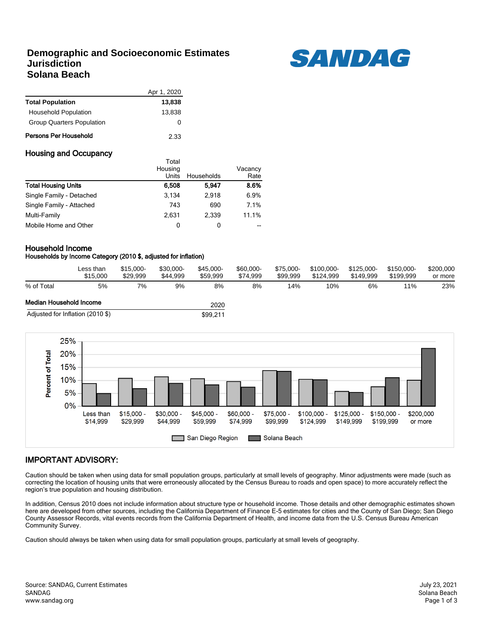## **Demographic and Socioeconomic Estimates Jurisdiction Solana Beach**



|                                  | Apr 1, 2020 |
|----------------------------------|-------------|
| <b>Total Population</b>          | 13,838      |
| <b>Household Population</b>      | 13.838      |
| <b>Group Quarters Population</b> | O           |
| Persons Per Household            | 2.33        |

### Housing and Occupancy

|                            | i otal<br>Housing |            | Vacancy |
|----------------------------|-------------------|------------|---------|
|                            | Units             | Households | Rate    |
| <b>Total Housing Units</b> | 6,508             | 5.947      | 8.6%    |
| Single Family - Detached   | 3.134             | 2.918      | 6.9%    |
| Single Family - Attached   | 743               | 690        | 7.1%    |
| Multi-Family               | 2.631             | 2.339      | 11.1%   |
| Mobile Home and Other      | 0                 | 0          | --      |

Total

### Household Income

#### Households by Income Category (2010 \$, adjusted for inflation)

|                         | Less than<br>\$15,000            | \$15,000-<br>\$29.999 | \$30.000-<br>\$44.999 | \$45,000-<br>\$59.999 | \$60,000-<br>\$74.999 | \$75,000-<br>\$99.999 | \$100.000-<br>\$124.999 | \$125.000-<br>\$149.999 | \$150.000-<br>\$199.999 | \$200,000<br>or more |
|-------------------------|----------------------------------|-----------------------|-----------------------|-----------------------|-----------------------|-----------------------|-------------------------|-------------------------|-------------------------|----------------------|
| % of Total              | 5%                               | 7%                    | 9%                    | 8%                    | 8%                    | 14%                   | 10%                     | 6%                      | 11%                     | 23%                  |
| Median Household Income |                                  |                       |                       | 2020                  |                       |                       |                         |                         |                         |                      |
|                         | Adjusted for Inflation (2010 \$) |                       |                       | \$99.211              |                       |                       |                         |                         |                         |                      |



## IMPORTANT ADVISORY:

Caution should be taken when using data for small population groups, particularly at small levels of geography. Minor adjustments were made (such as correcting the location of housing units that were erroneously allocated by the Census Bureau to roads and open space) to more accurately reflect the region's true population and housing distribution.

In addition, Census 2010 does not include information about structure type or household income. Those details and other demographic estimates shown here are developed from other sources, including the California Department of Finance E-5 estimates for cities and the County of San Diego; San Diego County Assessor Records, vital events records from the California Department of Health, and income data from the U.S. Census Bureau American Community Survey.

Caution should always be taken when using data for small population groups, particularly at small levels of geography.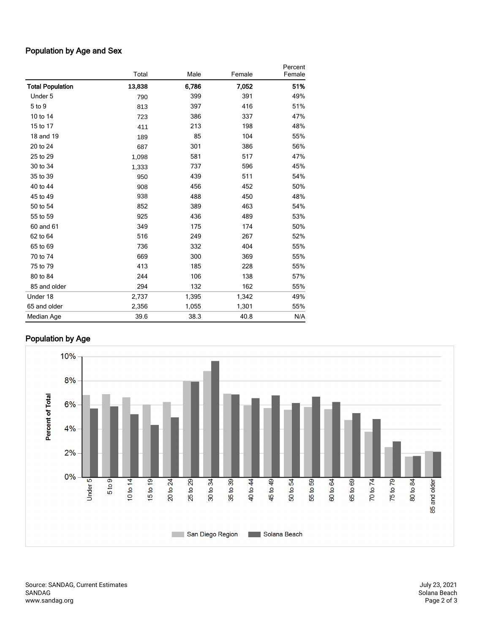## Population by Age and Sex

|                         | Total  | Male  | Female | Percent<br>Female |
|-------------------------|--------|-------|--------|-------------------|
| <b>Total Population</b> | 13,838 | 6,786 | 7,052  | 51%               |
| Under 5                 | 790    | 399   | 391    | 49%               |
| 5 to 9                  | 813    | 397   | 416    | 51%               |
| 10 to 14                | 723    | 386   | 337    | 47%               |
| 15 to 17                | 411    | 213   | 198    | 48%               |
| 18 and 19               | 189    | 85    | 104    | 55%               |
| 20 to 24                | 687    | 301   | 386    | 56%               |
| 25 to 29                | 1,098  | 581   | 517    | 47%               |
| 30 to 34                | 1,333  | 737   | 596    | 45%               |
| 35 to 39                | 950    | 439   | 511    | 54%               |
| 40 to 44                | 908    | 456   | 452    | 50%               |
| 45 to 49                | 938    | 488   | 450    | 48%               |
| 50 to 54                | 852    | 389   | 463    | 54%               |
| 55 to 59                | 925    | 436   | 489    | 53%               |
| 60 and 61               | 349    | 175   | 174    | 50%               |
| 62 to 64                | 516    | 249   | 267    | 52%               |
| 65 to 69                | 736    | 332   | 404    | 55%               |
| 70 to 74                | 669    | 300   | 369    | 55%               |
| 75 to 79                | 413    | 185   | 228    | 55%               |
| 80 to 84                | 244    | 106   | 138    | 57%               |
| 85 and older            | 294    | 132   | 162    | 55%               |
| Under 18                | 2,737  | 1,395 | 1,342  | 49%               |
| 65 and older            | 2,356  | 1,055 | 1,301  | 55%               |
| Median Age              | 39.6   | 38.3  | 40.8   | N/A               |

# Population by Age